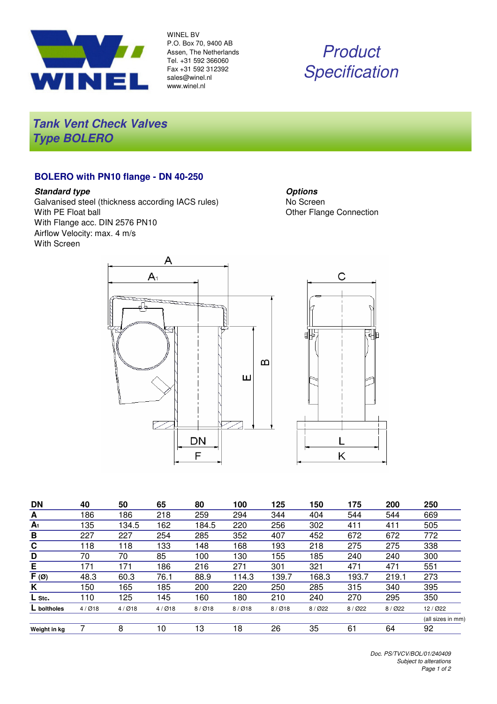

WINEL BV P.O. Box 70, 9400 AB Assen, The Netherlands Tel. +31 592 366060 Fax +31 592 312392 sales@winel.nl www.winel.nl

# **Product Specification**

**Tank Vent Check Valves Type BOLERO**

### **BOLERO with PN10 flange - DN 40-250**

#### **Standard type**

Galvanised steel (thickness according IACS rules) With PE Float ball With Flange acc. DIN 2576 PN10 Airflow Velocity: max. 4 m/s With Screen

**Options** No Screen Other Flange Connection



| <b>DN</b>      | 40    | 50    | 65    | 80    | 100   | 125   | 150      | 175   | 200   | 250               |
|----------------|-------|-------|-------|-------|-------|-------|----------|-------|-------|-------------------|
| A              | 186   | 186   | 218   | 259   | 294   | 344   | 404      | 544   | 544   | 669               |
| A <sub>1</sub> | 135   | 134.5 | 162   | 184.5 | 220   | 256   | 302      | 411   | 411   | 505               |
| B              | 227   | 227   | 254   | 285   | 352   | 407   | 452      | 672   | 672   | 772               |
| C              | 118   | 18    | 133   | 148   | 168   | 193   | 218      | 275   | 275   | 338               |
| D              | 70    | 70    | 85    | 100   | 130   | 155   | 185      | 240   | 240   | 300               |
| E              | 171   | 171   | 186   | 216   | 271   | 301   | 321      | 471   | 471   | 551               |
| $F(\emptyset)$ | 48.3  | 60.3  | 76.1  | 88.9  | 114.3 | 139.7 | 168.3    | 193.7 | 219.1 | 273               |
| K              | 150   | 165   | 185   | 200   | 220   | 250   | 285      | 315   | 340   | 395               |
| L Stc.         | 110   | 125   | 145   | 160   | 180   | 210   | 240      | 270   | 295   | 350               |
| L boltholes    | 4/Ø18 | 4/Ø18 | 4/Ø18 | 8/Ø18 | 8/Ø18 | 8/Ø18 | $8/$ Ø22 | 8/022 | 8/022 | 12 / Ø22          |
|                |       |       |       |       |       |       |          |       |       | (all sizes in mm) |
| Weight in kg   |       | 8     | 10    | 13    | 18    | 26    | 35       | 61    | 64    | 92                |